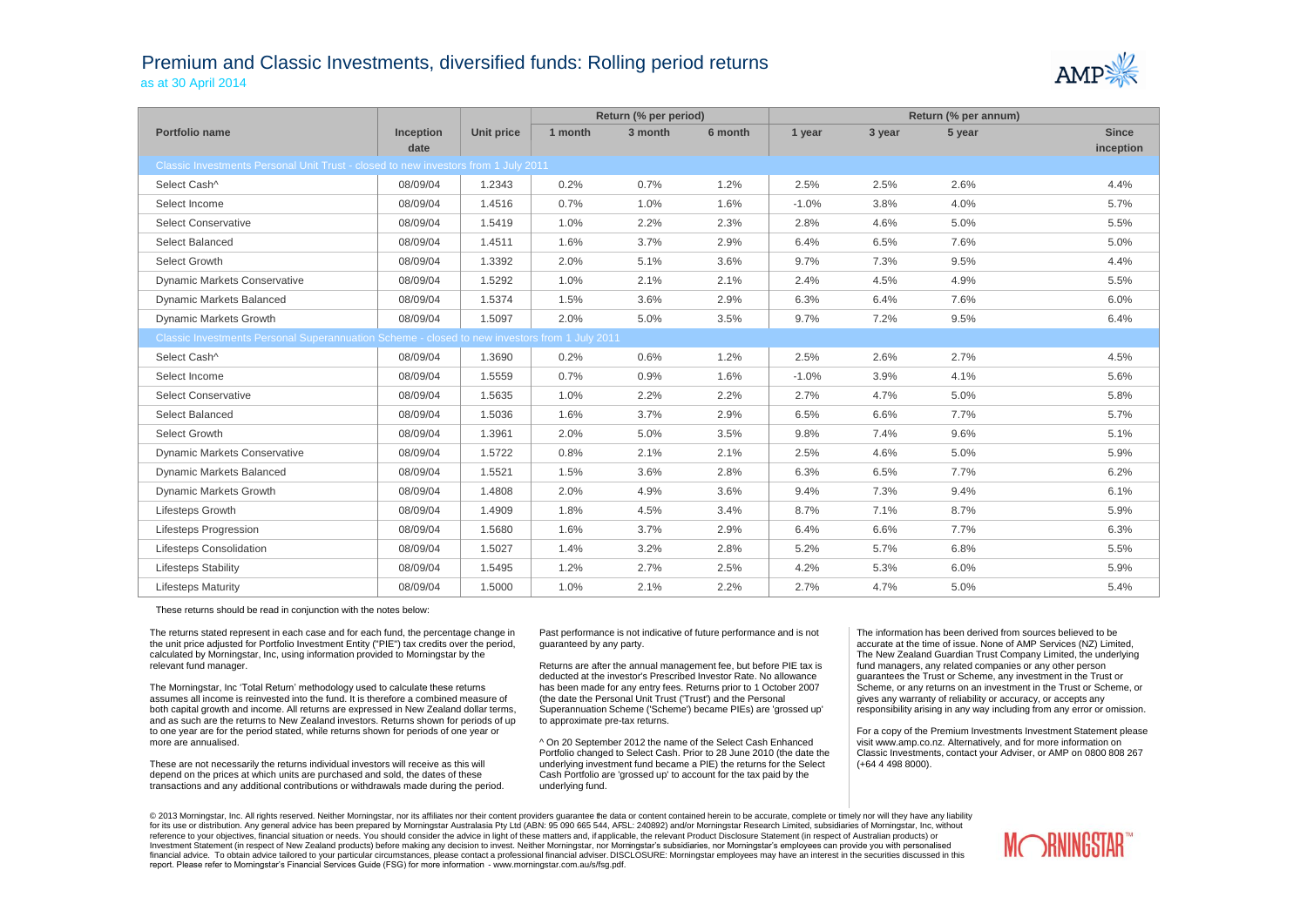## Premium and Classic Investments, diversified funds: Rolling period returns as at 30 April 2014



|                                                                                               |                  |            | Return (% per period) |         |         | Return (% per annum) |        |        |              |  |
|-----------------------------------------------------------------------------------------------|------------------|------------|-----------------------|---------|---------|----------------------|--------|--------|--------------|--|
| Portfolio name                                                                                | <b>Inception</b> | Unit price | 1 month               | 3 month | 6 month | 1 year               | 3 year | 5 year | <b>Since</b> |  |
|                                                                                               | date             |            |                       |         |         |                      |        |        | inception    |  |
| Classic Investments Personal Unit Trust - closed to new investors from 1 July 2011            |                  |            |                       |         |         |                      |        |        |              |  |
| Select Cash^                                                                                  | 08/09/04         | 1.2343     | 0.2%                  | 0.7%    | 1.2%    | 2.5%                 | 2.5%   | 2.6%   | 4.4%         |  |
| Select Income                                                                                 | 08/09/04         | 1.4516     | 0.7%                  | 1.0%    | 1.6%    | $-1.0%$              | 3.8%   | 4.0%   | 5.7%         |  |
| <b>Select Conservative</b>                                                                    | 08/09/04         | 1.5419     | 1.0%                  | 2.2%    | 2.3%    | 2.8%                 | 4.6%   | 5.0%   | 5.5%         |  |
| Select Balanced                                                                               | 08/09/04         | 1.4511     | 1.6%                  | 3.7%    | 2.9%    | 6.4%                 | 6.5%   | 7.6%   | 5.0%         |  |
| Select Growth                                                                                 | 08/09/04         | 1.3392     | 2.0%                  | 5.1%    | 3.6%    | 9.7%                 | 7.3%   | 9.5%   | 4.4%         |  |
| <b>Dynamic Markets Conservative</b>                                                           | 08/09/04         | 1.5292     | 1.0%                  | 2.1%    | 2.1%    | 2.4%                 | 4.5%   | 4.9%   | 5.5%         |  |
| Dynamic Markets Balanced                                                                      | 08/09/04         | 1.5374     | 1.5%                  | 3.6%    | 2.9%    | 6.3%                 | 6.4%   | 7.6%   | 6.0%         |  |
| Dynamic Markets Growth                                                                        | 08/09/04         | 1.5097     | 2.0%                  | 5.0%    | 3.5%    | 9.7%                 | 7.2%   | 9.5%   | 6.4%         |  |
| Classic Investments Personal Superannuation Scheme - closed to new investors from 1 July 2011 |                  |            |                       |         |         |                      |        |        |              |  |
| Select Cash^                                                                                  | 08/09/04         | 1.3690     | 0.2%                  | 0.6%    | 1.2%    | 2.5%                 | 2.6%   | 2.7%   | 4.5%         |  |
| Select Income                                                                                 | 08/09/04         | 1.5559     | 0.7%                  | 0.9%    | 1.6%    | $-1.0%$              | 3.9%   | 4.1%   | 5.6%         |  |
| <b>Select Conservative</b>                                                                    | 08/09/04         | 1.5635     | 1.0%                  | 2.2%    | 2.2%    | 2.7%                 | 4.7%   | 5.0%   | 5.8%         |  |
| Select Balanced                                                                               | 08/09/04         | 1.5036     | 1.6%                  | 3.7%    | 2.9%    | 6.5%                 | 6.6%   | 7.7%   | 5.7%         |  |
| Select Growth                                                                                 | 08/09/04         | 1.3961     | 2.0%                  | 5.0%    | 3.5%    | 9.8%                 | 7.4%   | 9.6%   | 5.1%         |  |
| <b>Dynamic Markets Conservative</b>                                                           | 08/09/04         | 1.5722     | 0.8%                  | 2.1%    | 2.1%    | 2.5%                 | 4.6%   | 5.0%   | 5.9%         |  |
| <b>Dynamic Markets Balanced</b>                                                               | 08/09/04         | 1.5521     | 1.5%                  | 3.6%    | 2.8%    | 6.3%                 | 6.5%   | 7.7%   | 6.2%         |  |
| <b>Dynamic Markets Growth</b>                                                                 | 08/09/04         | 1.4808     | 2.0%                  | 4.9%    | 3.6%    | 9.4%                 | 7.3%   | 9.4%   | 6.1%         |  |
| Lifesteps Growth                                                                              | 08/09/04         | 1.4909     | 1.8%                  | 4.5%    | 3.4%    | 8.7%                 | 7.1%   | 8.7%   | 5.9%         |  |
| Lifesteps Progression                                                                         | 08/09/04         | 1.5680     | 1.6%                  | 3.7%    | 2.9%    | 6.4%                 | 6.6%   | 7.7%   | 6.3%         |  |
| <b>Lifesteps Consolidation</b>                                                                | 08/09/04         | 1.5027     | 1.4%                  | 3.2%    | 2.8%    | 5.2%                 | 5.7%   | 6.8%   | 5.5%         |  |
| <b>Lifesteps Stability</b>                                                                    | 08/09/04         | 1.5495     | 1.2%                  | 2.7%    | 2.5%    | 4.2%                 | 5.3%   | 6.0%   | 5.9%         |  |
| <b>Lifesteps Maturity</b>                                                                     | 08/09/04         | 1.5000     | 1.0%                  | 2.1%    | 2.2%    | 2.7%                 | 4.7%   | 5.0%   | 5.4%         |  |

These returns should be read in conjunction with the notes below:

The returns stated represent in each case and for each fund, the percentage change in the unit price adjusted for Portfolio Investment Entity ("PIE") tax credits over the period, calculated by Morningstar, Inc, using information provided to Morningstar by the relevant fund manager.

The Morningstar, Inc 'Total Return' methodology used to calculate these returns assumes all income is reinvested into the fund. It is therefore a combined measure of both capital growth and income. All returns are expressed in New Zealand dollar terms, and as such are the returns to New Zealand investors. Returns shown for periods of up to one year are for the period stated, while returns shown for periods of one year or more are annualised.

These are not necessarily the returns individual investors will receive as this will depend on the prices at which units are purchased and sold, the dates of these transactions and any additional contributions or withdrawals made during the period.

Past performance is not indicative of future performance and is not guaranteed by any party.

Returns are after the annual management fee, but before PIE tax is deducted at the investor's Prescribed Investor Rate. No allowance has been made for any entry fees. Returns prior to 1 October 2007 (the date the Personal Unit Trust ('Trust') and the Personal Superannuation Scheme ('Scheme') became PIEs) are 'grossed up' to approximate pre-tax returns.

^ On 20 September 2012 the name of the Select Cash Enhanced Portfolio changed to Select Cash. Prior to 28 June 2010 (the date the underlying investment fund became a PIE) the returns for the Select Cash Portfolio are 'grossed up' to account for the tax paid by the underlying fund.

The information has been derived from sources believed to be accurate at the time of issue. None of AMP Services (NZ) Limited, The New Zealand Guardian Trust Company Limited, the underlying fund managers, any related companies or any other person guarantees the Trust or Scheme, any investment in the Trust or Scheme, or any returns on an investment in the Trust or Scheme, or gives any warranty of reliability or accuracy, or accepts any responsibility arising in any way including from any error or omission.

For a copy of the Premium Investments Investment Statement please visit www.amp.co.nz. Alternatively, and for more information on Classic Investments, contact your Adviser, or AMP on 0800 808 267 (+64 4 498 8000).

© 2013 Morningstar, Inc. All rights reserved. Neither Morningstar, nor its affiliates nor their content providers quarantee the data or content contained herein to be accurate, complete or timely nor will they have any lia for its use or distribution. Any general advice has been prepared by Morningstar Australasia Pty Ltd (ABN: 95 090 665 544, AFSL: 240892) and/or Morningstar Research Limited, subsidiaries of Morningstar, Inc, without reference to your objectives, financial situation or needs. You should consider the advice in light of these matters and, if applicable, the relevant Product Disclosure Statement (in respect of Australian products) or Investment Statement (in respect of New Zealand products) before making any decision to invest. Neither Morningstar, nor Morningstar's subsidiaries, nor Morningstar's employees can provide you with personalised financial advice. To obtain advice tailored to your particular circumstances, please contact a professional financial adviser. DISCLOSURE: Morningstar employees may have an interest in the securities discussed in this report. Please refer to Morningstar's Financial Services Guide (FSG) for more information - www.morningstar.com.au/s/fsg.pdf.